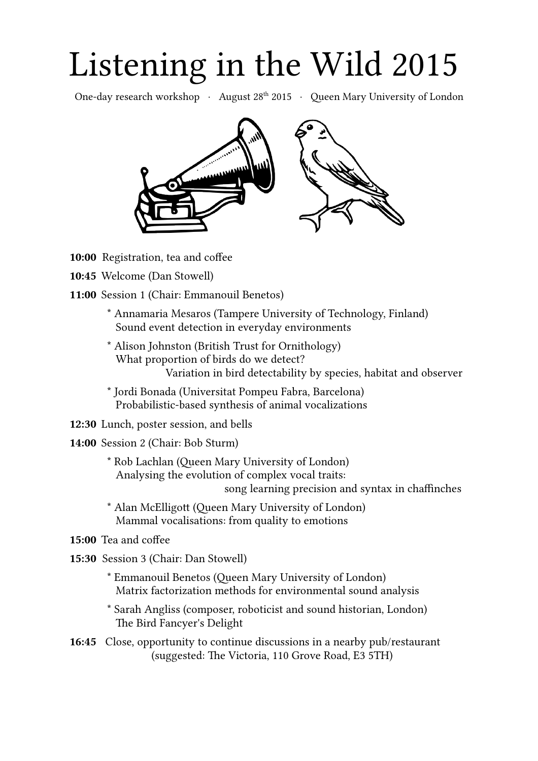# Listening in the Wild 2015

One-day research workshop · August 28<sup>th</sup> 2015 · Queen Mary University of London



- **10:00** Registration, tea and coffee
- **10:45** Welcome (Dan Stowell)
- **11:00** Session 1 (Chair: Emmanouil Benetos)
	- \* Annamaria Mesaros (Tampere University of Technology, Finland) Sound event detection in everyday environments
	- \* Alison Johnston (British Trust for Ornithology) What proportion of birds do we detect? Variation in bird detectability by species, habitat and observer
	- \* Jordi Bonada (Universitat Pompeu Fabra, Barcelona) Probabilistic-based synthesis of animal vocalizations
- **12:30** Lunch, poster session, and bells
- **14:00** Session 2 (Chair: Bob Sturm)
	- \* Rob Lachlan (Queen Mary University of London) Analysing the evolution of complex vocal traits: song learning precision and syntax in chaffinches
	- \* Alan McElligott (Queen Mary University of London) Mammal vocalisations: from quality to emotions
- **15:00** Tea and coffee
- **15:30** Session 3 (Chair: Dan Stowell)
	- \* Emmanouil Benetos (Queen Mary University of London) Matrix factorization methods for environmental sound analysis
	- \* Sarah Angliss (composer, roboticist and sound historian, London) The Bird Fancyer's Delight
- **16:45** Close, opportunity to continue discussions in a nearby pub/restaurant (suggested: The Victoria, 110 Grove Road, E3 5TH)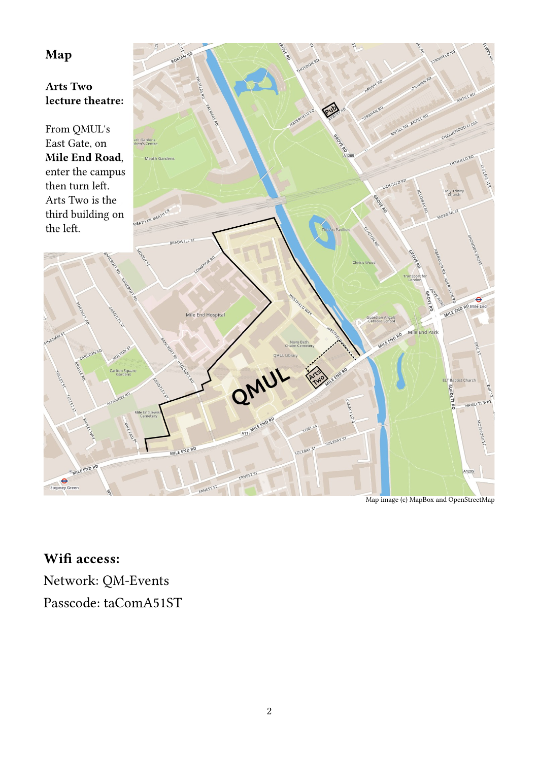#### Map

#### **Arts Two** lecture theatre:

From QMUL's East Gate, on Mile End Road, enter the campus then turn left. Arts Two is the third building on the left.



Map image (c) MapBox and OpenStreetMap

**Wifi access:** Network: QM-Events Passcode: taComA51ST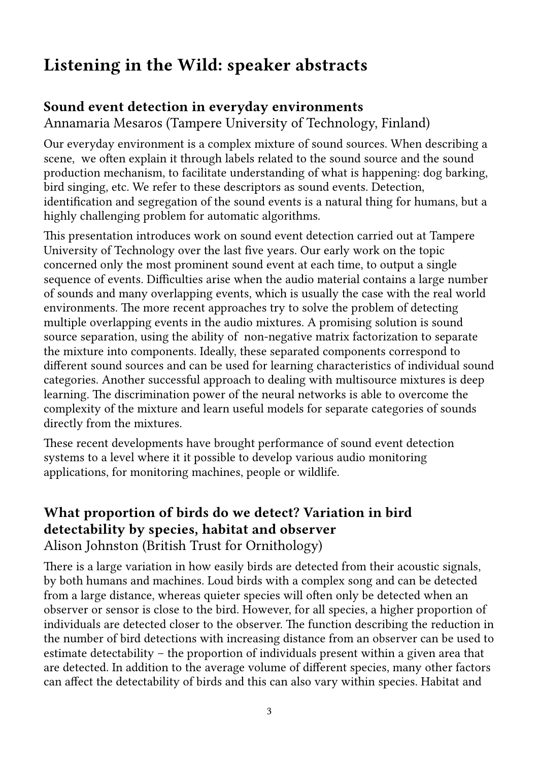# **Listening in the Wild: speaker abstracts**

#### **Sound event detection in everyday environments**

Annamaria Mesaros (Tampere University of Technology, Finland)

Our everyday environment is a complex mixture of sound sources. When describing a scene, we often explain it through labels related to the sound source and the sound production mechanism, to facilitate understanding of what is happening: dog barking, bird singing, etc. We refer to these descriptors as sound events. Detection, identification and segregation of the sound events is a natural thing for humans, but a highly challenging problem for automatic algorithms.

This presentation introduces work on sound event detection carried out at Tampere University of Technology over the last five years. Our early work on the topic concerned only the most prominent sound event at each time, to output a single sequence of events. Difficulties arise when the audio material contains a large number of sounds and many overlapping events, which is usually the case with the real world environments. The more recent approaches try to solve the problem of detecting multiple overlapping events in the audio mixtures. A promising solution is sound source separation, using the ability of non-negative matrix factorization to separate the mixture into components. Ideally, these separated components correspond to different sound sources and can be used for learning characteristics of individual sound categories. Another successful approach to dealing with multisource mixtures is deep learning. The discrimination power of the neural networks is able to overcome the complexity of the mixture and learn useful models for separate categories of sounds directly from the mixtures.

These recent developments have brought performance of sound event detection systems to a level where it it possible to develop various audio monitoring applications, for monitoring machines, people or wildlife.

#### **What proportion of birds do we detect? Variation in bird detectability by species, habitat and observer** Alison Johnston (British Trust for Ornithology)

There is a large variation in how easily birds are detected from their acoustic signals, by both humans and machines. Loud birds with a complex song and can be detected from a large distance, whereas quieter species will often only be detected when an observer or sensor is close to the bird. However, for all species, a higher proportion of individuals are detected closer to the observer. The function describing the reduction in the number of bird detections with increasing distance from an observer can be used to estimate detectability – the proportion of individuals present within a given area that are detected. In addition to the average volume of different species, many other factors can affect the detectability of birds and this can also vary within species. Habitat and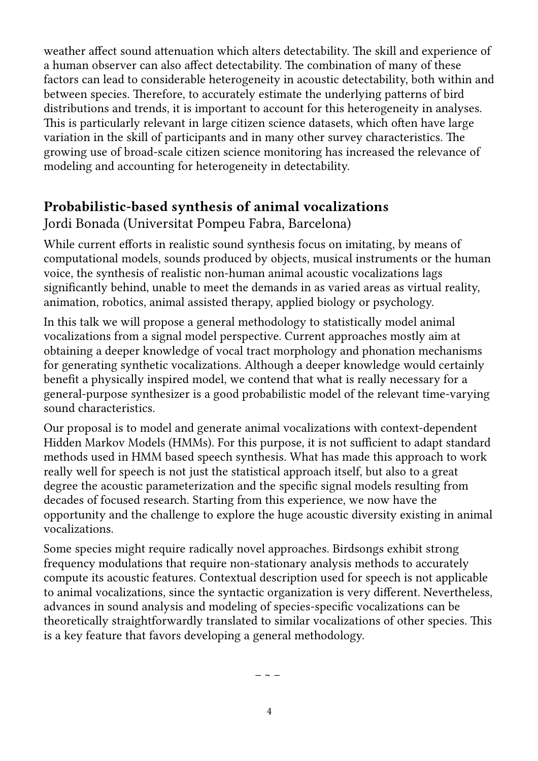weather affect sound attenuation which alters detectability. The skill and experience of a human observer can also affect detectability. The combination of many of these factors can lead to considerable heterogeneity in acoustic detectability, both within and between species. Therefore, to accurately estimate the underlying patterns of bird distributions and trends, it is important to account for this heterogeneity in analyses. This is particularly relevant in large citizen science datasets, which often have large variation in the skill of participants and in many other survey characteristics. The growing use of broad-scale citizen science monitoring has increased the relevance of modeling and accounting for heterogeneity in detectability.

#### **Probabilistic-based synthesis of animal vocalizations**

Jordi Bonada (Universitat Pompeu Fabra, Barcelona)

While current efforts in realistic sound synthesis focus on imitating, by means of computational models, sounds produced by objects, musical instruments or the human voice, the synthesis of realistic non-human animal acoustic vocalizations lags significantly behind, unable to meet the demands in as varied areas as virtual reality, animation, robotics, animal assisted therapy, applied biology or psychology.

In this talk we will propose a general methodology to statistically model animal vocalizations from a signal model perspective. Current approaches mostly aim at obtaining a deeper knowledge of vocal tract morphology and phonation mechanisms for generating synthetic vocalizations. Although a deeper knowledge would certainly benefit a physically inspired model, we contend that what is really necessary for a general-purpose synthesizer is a good probabilistic model of the relevant time-varying sound characteristics.

Our proposal is to model and generate animal vocalizations with context-dependent Hidden Markov Models (HMMs). For this purpose, it is not sufficient to adapt standard methods used in HMM based speech synthesis. What has made this approach to work really well for speech is not just the statistical approach itself, but also to a great degree the acoustic parameterization and the specific signal models resulting from decades of focused research. Starting from this experience, we now have the opportunity and the challenge to explore the huge acoustic diversity existing in animal vocalizations.

Some species might require radically novel approaches. Birdsongs exhibit strong frequency modulations that require non-stationary analysis methods to accurately compute its acoustic features. Contextual description used for speech is not applicable to animal vocalizations, since the syntactic organization is very different. Nevertheless, advances in sound analysis and modeling of species-specific vocalizations can be theoretically straightforwardly translated to similar vocalizations of other species. This is a key feature that favors developing a general methodology.

 $\sim$   $-$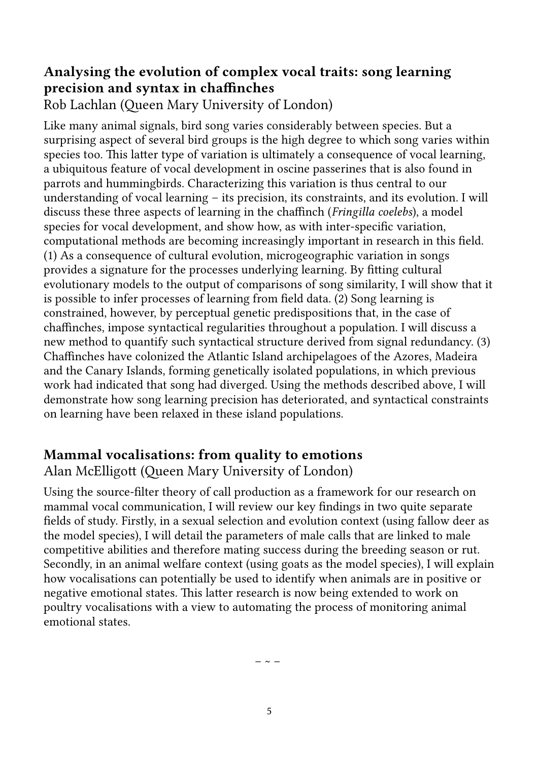## **Analysing the evolution of complex vocal traits: song learning precision and syntax in chaffinches**

Rob Lachlan (Queen Mary University of London)

Like many animal signals, bird song varies considerably between species. But a surprising aspect of several bird groups is the high degree to which song varies within species too. This latter type of variation is ultimately a consequence of vocal learning, a ubiquitous feature of vocal development in oscine passerines that is also found in parrots and hummingbirds. Characterizing this variation is thus central to our understanding of vocal learning – its precision, its constraints, and its evolution. I will discuss these three aspects of learning in the chaffinch (*Fringilla coelebs*), a model species for vocal development, and show how, as with inter-specific variation, computational methods are becoming increasingly important in research in this field. (1) As a consequence of cultural evolution, microgeographic variation in songs provides a signature for the processes underlying learning. By fitting cultural evolutionary models to the output of comparisons of song similarity, I will show that it is possible to infer processes of learning from field data. (2) Song learning is constrained, however, by perceptual genetic predispositions that, in the case of chaffinches, impose syntactical regularities throughout a population. I will discuss a new method to quantify such syntactical structure derived from signal redundancy. (3) Chaffinches have colonized the Atlantic Island archipelagoes of the Azores, Madeira and the Canary Islands, forming genetically isolated populations, in which previous work had indicated that song had diverged. Using the methods described above, I will demonstrate how song learning precision has deteriorated, and syntactical constraints on learning have been relaxed in these island populations.

## **Mammal vocalisations: from quality to emotions**

Alan McElligott (Queen Mary University of London)

Using the source-filter theory of call production as a framework for our research on mammal vocal communication, I will review our key findings in two quite separate fields of study. Firstly, in a sexual selection and evolution context (using fallow deer as the model species), I will detail the parameters of male calls that are linked to male competitive abilities and therefore mating success during the breeding season or rut. Secondly, in an animal welfare context (using goats as the model species), I will explain how vocalisations can potentially be used to identify when animals are in positive or negative emotional states. This latter research is now being extended to work on poultry vocalisations with a view to automating the process of monitoring animal emotional states.

 $\sim$   $-$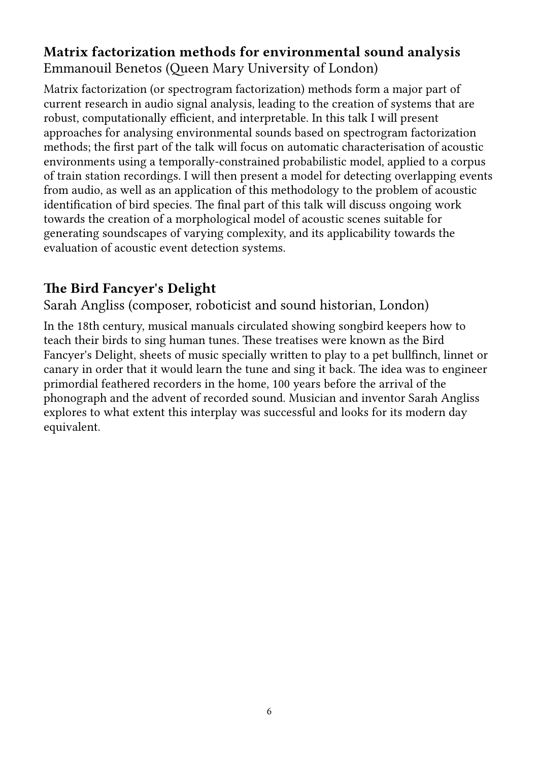## **Matrix factorization methods for environmental sound analysis** Emmanouil Benetos (Queen Mary University of London)

Matrix factorization (or spectrogram factorization) methods form a major part of current research in audio signal analysis, leading to the creation of systems that are robust, computationally efficient, and interpretable. In this talk I will present approaches for analysing environmental sounds based on spectrogram factorization methods; the first part of the talk will focus on automatic characterisation of acoustic environments using a temporally-constrained probabilistic model, applied to a corpus of train station recordings. I will then present a model for detecting overlapping events from audio, as well as an application of this methodology to the problem of acoustic identification of bird species. The final part of this talk will discuss ongoing work towards the creation of a morphological model of acoustic scenes suitable for generating soundscapes of varying complexity, and its applicability towards the evaluation of acoustic event detection systems.

#### **The Bird Fancyer's Delight**

Sarah Angliss (composer, roboticist and sound historian, London)

In the 18th century, musical manuals circulated showing songbird keepers how to teach their birds to sing human tunes. These treatises were known as the Bird Fancyer's Delight, sheets of music specially written to play to a pet bullfinch, linnet or canary in order that it would learn the tune and sing it back. The idea was to engineer primordial feathered recorders in the home, 100 years before the arrival of the phonograph and the advent of recorded sound. Musician and inventor Sarah Angliss explores to what extent this interplay was successful and looks for its modern day equivalent.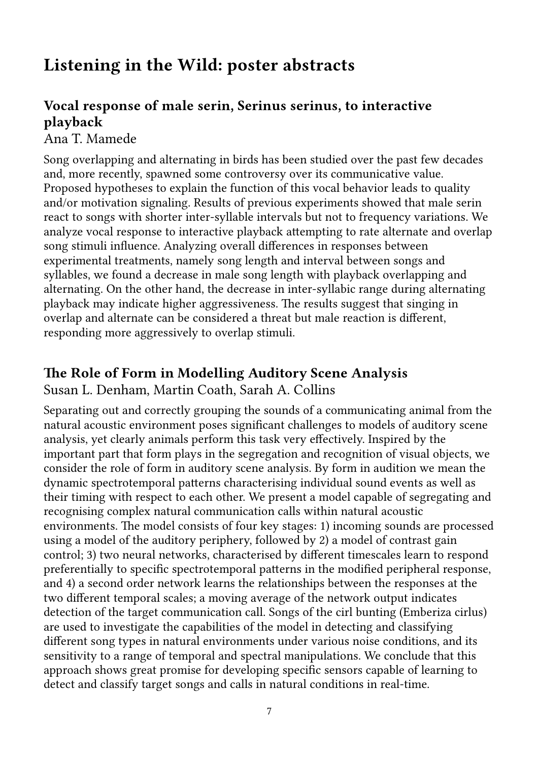# **Listening in the Wild: poster abstracts**

## **Vocal response of male serin, Serinus serinus, to interactive playback**

#### Ana T. Mamede

Song overlapping and alternating in birds has been studied over the past few decades and, more recently, spawned some controversy over its communicative value. Proposed hypotheses to explain the function of this vocal behavior leads to quality and/or motivation signaling. Results of previous experiments showed that male serin react to songs with shorter inter-syllable intervals but not to frequency variations. We analyze vocal response to interactive playback attempting to rate alternate and overlap song stimuli influence. Analyzing overall differences in responses between experimental treatments, namely song length and interval between songs and syllables, we found a decrease in male song length with playback overlapping and alternating. On the other hand, the decrease in inter-syllabic range during alternating playback may indicate higher aggressiveness. The results suggest that singing in overlap and alternate can be considered a threat but male reaction is different, responding more aggressively to overlap stimuli.

## **The Role of Form in Modelling Auditory Scene Analysis**

#### Susan L. Denham, Martin Coath, Sarah A. Collins

Separating out and correctly grouping the sounds of a communicating animal from the natural acoustic environment poses significant challenges to models of auditory scene analysis, yet clearly animals perform this task very effectively. Inspired by the important part that form plays in the segregation and recognition of visual objects, we consider the role of form in auditory scene analysis. By form in audition we mean the dynamic spectrotemporal patterns characterising individual sound events as well as their timing with respect to each other. We present a model capable of segregating and recognising complex natural communication calls within natural acoustic environments. The model consists of four key stages: 1) incoming sounds are processed using a model of the auditory periphery, followed by 2) a model of contrast gain control; 3) two neural networks, characterised by different timescales learn to respond preferentially to specific spectrotemporal patterns in the modified peripheral response, and 4) a second order network learns the relationships between the responses at the two different temporal scales; a moving average of the network output indicates detection of the target communication call. Songs of the cirl bunting (Emberiza cirlus) are used to investigate the capabilities of the model in detecting and classifying different song types in natural environments under various noise conditions, and its sensitivity to a range of temporal and spectral manipulations. We conclude that this approach shows great promise for developing specific sensors capable of learning to detect and classify target songs and calls in natural conditions in real-time.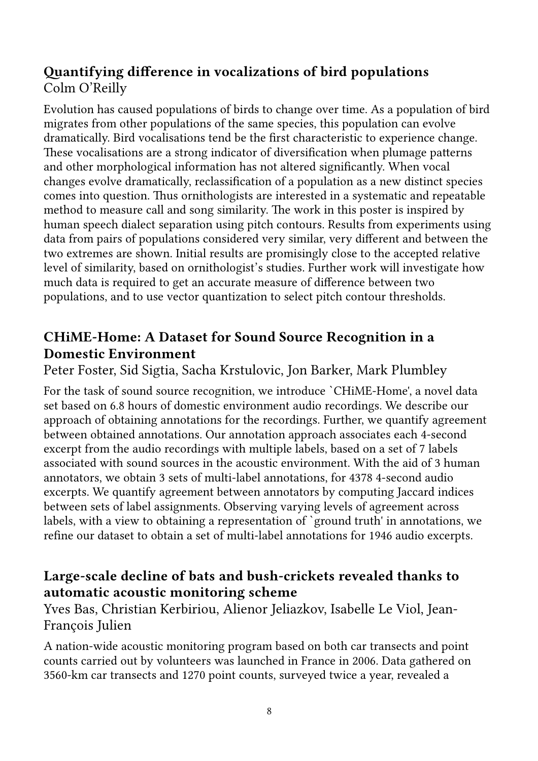## **Quantifying difference in vocalizations of bird populations**  Colm O'Reilly

Evolution has caused populations of birds to change over time. As a population of bird migrates from other populations of the same species, this population can evolve dramatically. Bird vocalisations tend be the first characteristic to experience change. These vocalisations are a strong indicator of diversification when plumage patterns and other morphological information has not altered significantly. When vocal changes evolve dramatically, reclassification of a population as a new distinct species comes into question. Thus ornithologists are interested in a systematic and repeatable method to measure call and song similarity. The work in this poster is inspired by human speech dialect separation using pitch contours. Results from experiments using data from pairs of populations considered very similar, very different and between the two extremes are shown. Initial results are promisingly close to the accepted relative level of similarity, based on ornithologist's studies. Further work will investigate how much data is required to get an accurate measure of difference between two populations, and to use vector quantization to select pitch contour thresholds.

## **CHiME-Home: A Dataset for Sound Source Recognition in a Domestic Environment**

Peter Foster, Sid Sigtia, Sacha Krstulovic, Jon Barker, Mark Plumbley

For the task of sound source recognition, we introduce `CHiME-Home', a novel data set based on 6.8 hours of domestic environment audio recordings. We describe our approach of obtaining annotations for the recordings. Further, we quantify agreement between obtained annotations. Our annotation approach associates each 4-second excerpt from the audio recordings with multiple labels, based on a set of 7 labels associated with sound sources in the acoustic environment. With the aid of 3 human annotators, we obtain 3 sets of multi-label annotations, for 4378 4-second audio excerpts. We quantify agreement between annotators by computing Jaccard indices between sets of label assignments. Observing varying levels of agreement across labels, with a view to obtaining a representation of `ground truth' in annotations, we refine our dataset to obtain a set of multi-label annotations for 1946 audio excerpts.

## **Large-scale decline of bats and bush-crickets revealed thanks to automatic acoustic monitoring scheme**

Yves Bas, Christian Kerbiriou, Alienor Jeliazkov, Isabelle Le Viol, Jean-François Julien

A nation-wide acoustic monitoring program based on both car transects and point counts carried out by volunteers was launched in France in 2006. Data gathered on 3560-km car transects and 1270 point counts, surveyed twice a year, revealed a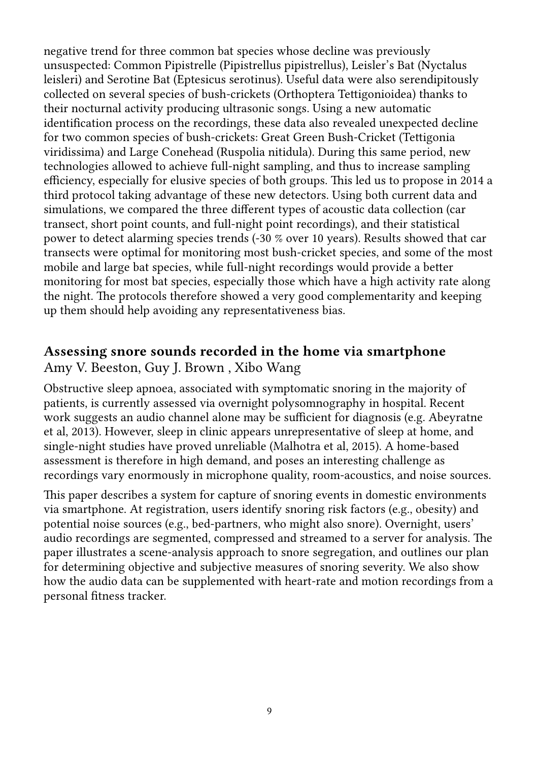negative trend for three common bat species whose decline was previously unsuspected: Common Pipistrelle (Pipistrellus pipistrellus), Leisler's Bat (Nyctalus leisleri) and Serotine Bat (Eptesicus serotinus). Useful data were also serendipitously collected on several species of bush-crickets (Orthoptera Tettigonioidea) thanks to their nocturnal activity producing ultrasonic songs. Using a new automatic identification process on the recordings, these data also revealed unexpected decline for two common species of bush-crickets: Great Green Bush-Cricket (Tettigonia viridissima) and Large Conehead (Ruspolia nitidula). During this same period, new technologies allowed to achieve full-night sampling, and thus to increase sampling efficiency, especially for elusive species of both groups. This led us to propose in 2014 a third protocol taking advantage of these new detectors. Using both current data and simulations, we compared the three different types of acoustic data collection (car transect, short point counts, and full-night point recordings), and their statistical power to detect alarming species trends (-30 % over 10 years). Results showed that car transects were optimal for monitoring most bush-cricket species, and some of the most mobile and large bat species, while full-night recordings would provide a better monitoring for most bat species, especially those which have a high activity rate along the night. The protocols therefore showed a very good complementarity and keeping up them should help avoiding any representativeness bias.

#### **Assessing snore sounds recorded in the home via smartphone**

Amy V. Beeston, Guy J. Brown , Xibo Wang

Obstructive sleep apnoea, associated with symptomatic snoring in the majority of patients, is currently assessed via overnight polysomnography in hospital. Recent work suggests an audio channel alone may be sufficient for diagnosis (e.g. Abeyratne et al, 2013). However, sleep in clinic appears unrepresentative of sleep at home, and single-night studies have proved unreliable (Malhotra et al, 2015). A home-based assessment is therefore in high demand, and poses an interesting challenge as recordings vary enormously in microphone quality, room-acoustics, and noise sources.

This paper describes a system for capture of snoring events in domestic environments via smartphone. At registration, users identify snoring risk factors (e.g., obesity) and potential noise sources (e.g., bed-partners, who might also snore). Overnight, users' audio recordings are segmented, compressed and streamed to a server for analysis. The paper illustrates a scene-analysis approach to snore segregation, and outlines our plan for determining objective and subjective measures of snoring severity. We also show how the audio data can be supplemented with heart-rate and motion recordings from a personal fitness tracker.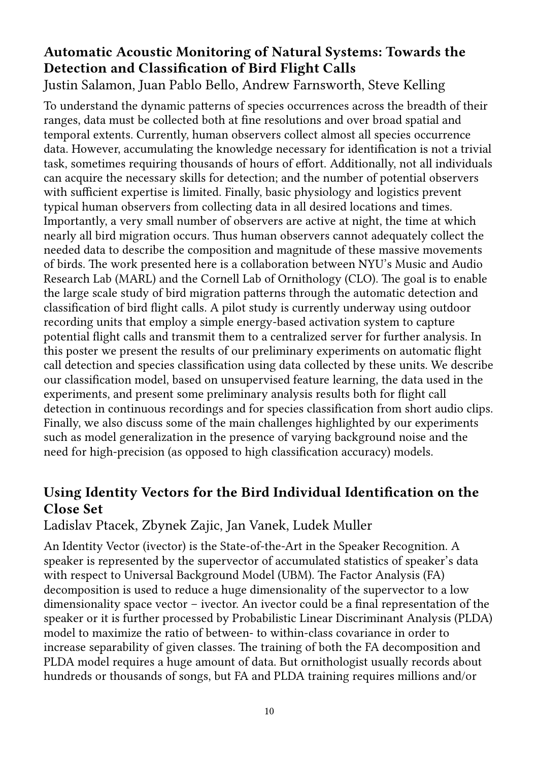## **Automatic Acoustic Monitoring of Natural Systems: Towards the Detection and Classification of Bird Flight Calls**

Justin Salamon, Juan Pablo Bello, Andrew Farnsworth, Steve Kelling

To understand the dynamic patterns of species occurrences across the breadth of their ranges, data must be collected both at fine resolutions and over broad spatial and temporal extents. Currently, human observers collect almost all species occurrence data. However, accumulating the knowledge necessary for identification is not a trivial task, sometimes requiring thousands of hours of effort. Additionally, not all individuals can acquire the necessary skills for detection; and the number of potential observers with sufficient expertise is limited. Finally, basic physiology and logistics prevent typical human observers from collecting data in all desired locations and times. Importantly, a very small number of observers are active at night, the time at which nearly all bird migration occurs. Thus human observers cannot adequately collect the needed data to describe the composition and magnitude of these massive movements of birds. The work presented here is a collaboration between NYU's Music and Audio Research Lab (MARL) and the Cornell Lab of Ornithology (CLO). The goal is to enable the large scale study of bird migration patterns through the automatic detection and classification of bird flight calls. A pilot study is currently underway using outdoor recording units that employ a simple energy-based activation system to capture potential flight calls and transmit them to a centralized server for further analysis. In this poster we present the results of our preliminary experiments on automatic flight call detection and species classification using data collected by these units. We describe our classification model, based on unsupervised feature learning, the data used in the experiments, and present some preliminary analysis results both for flight call detection in continuous recordings and for species classification from short audio clips. Finally, we also discuss some of the main challenges highlighted by our experiments such as model generalization in the presence of varying background noise and the need for high-precision (as opposed to high classification accuracy) models.

## **Using Identity Vectors for the Bird Individual Identification on the Close Set**

Ladislav Ptacek, Zbynek Zajic, Jan Vanek, Ludek Muller

An Identity Vector (ivector) is the State-of-the-Art in the Speaker Recognition. A speaker is represented by the supervector of accumulated statistics of speaker's data with respect to Universal Background Model (UBM). The Factor Analysis (FA) decomposition is used to reduce a huge dimensionality of the supervector to a low dimensionality space vector – ivector. An ivector could be a final representation of the speaker or it is further processed by Probabilistic Linear Discriminant Analysis (PLDA) model to maximize the ratio of between- to within-class covariance in order to increase separability of given classes. The training of both the FA decomposition and PLDA model requires a huge amount of data. But ornithologist usually records about hundreds or thousands of songs, but FA and PLDA training requires millions and/or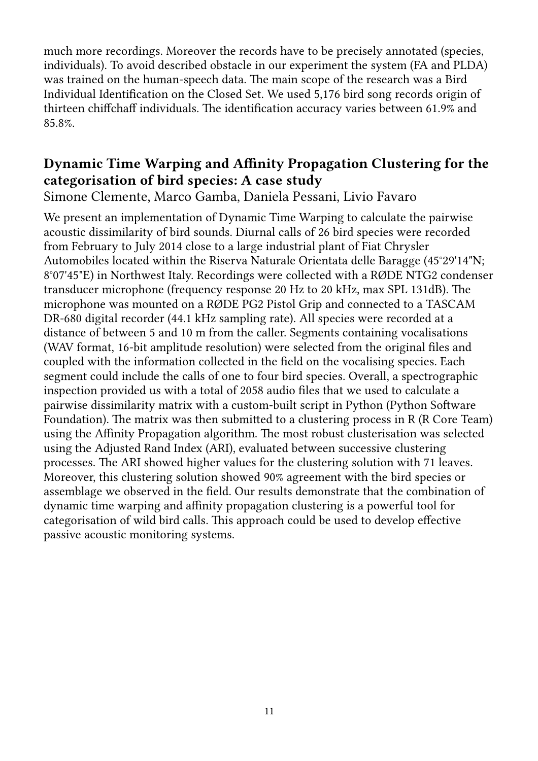much more recordings. Moreover the records have to be precisely annotated (species, individuals). To avoid described obstacle in our experiment the system (FA and PLDA) was trained on the human-speech data. The main scope of the research was a Bird Individual Identification on the Closed Set. We used 5,176 bird song records origin of thirteen chiffchaff individuals. The identification accuracy varies between 61.9% and 85.8%.

#### **Dynamic Time Warping and Affinity Propagation Clustering for the categorisation of bird species: A case study**  Simone Clemente, Marco Gamba, Daniela Pessani, Livio Favaro

We present an implementation of Dynamic Time Warping to calculate the pairwise acoustic dissimilarity of bird sounds. Diurnal calls of 26 bird species were recorded from February to July 2014 close to a large industrial plant of Fiat Chrysler Automobiles located within the Riserva Naturale Orientata delle Baragge (45°29'14"N; 8°07'45"E) in Northwest Italy. Recordings were collected with a RØDE NTG2 condenser transducer microphone (frequency response 20 Hz to 20 kHz, max SPL 131dB). The microphone was mounted on a RØDE PG2 Pistol Grip and connected to a TASCAM DR-680 digital recorder (44.1 kHz sampling rate). All species were recorded at a distance of between 5 and 10 m from the caller. Segments containing vocalisations (WAV format, 16-bit amplitude resolution) were selected from the original files and coupled with the information collected in the field on the vocalising species. Each segment could include the calls of one to four bird species. Overall, a spectrographic inspection provided us with a total of 2058 audio files that we used to calculate a pairwise dissimilarity matrix with a custom-built script in Python (Python Software Foundation). The matrix was then submitted to a clustering process in R (R Core Team) using the Affinity Propagation algorithm. The most robust clusterisation was selected using the Adjusted Rand Index (ARI), evaluated between successive clustering processes. The ARI showed higher values for the clustering solution with 71 leaves. Moreover, this clustering solution showed 90% agreement with the bird species or assemblage we observed in the field. Our results demonstrate that the combination of dynamic time warping and affinity propagation clustering is a powerful tool for categorisation of wild bird calls. This approach could be used to develop effective passive acoustic monitoring systems.